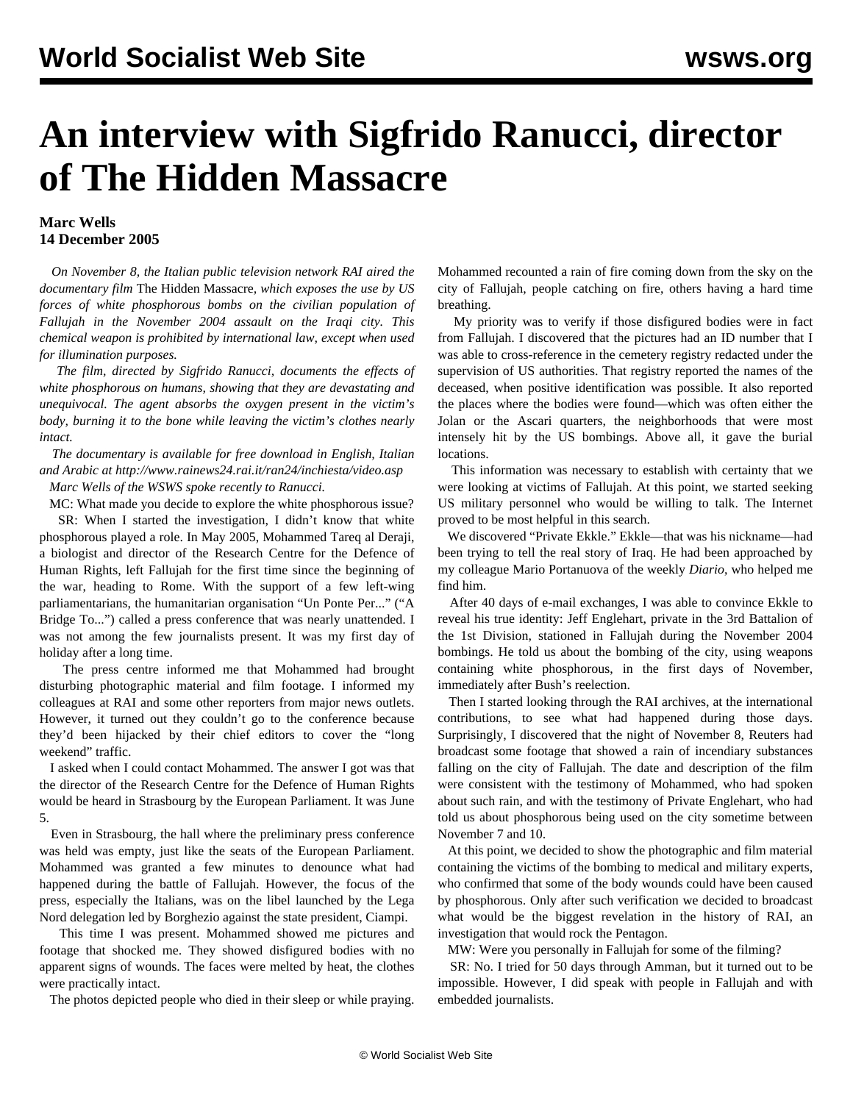## **An interview with Sigfrido Ranucci, director of The Hidden Massacre**

## **Marc Wells 14 December 2005**

 *On November 8, the Italian public television network RAI aired the documentary film* The Hidden Massacre*, which exposes the use by US forces of white phosphorous bombs on the civilian population of Fallujah in the November 2004 assault on the Iraqi city. This chemical weapon is prohibited by international law, except when used for illumination purposes.*

 *The film, directed by Sigfrido Ranucci, documents the effects of white phosphorous on humans, showing that they are devastating and unequivocal. The agent absorbs the oxygen present in the victim's body, burning it to the bone while leaving the victim's clothes nearly intact.*

 *The documentary is available for free download in English, Italian and Arabic at http://www.rainews24.rai.it/ran24/inchiesta/video.asp*

*Marc Wells of the WSWS spoke recently to Ranucci.*

 MC: What made you decide to explore the white phosphorous issue? SR: When I started the investigation, I didn't know that white phosphorous played a role. In May 2005, Mohammed Tareq al Deraji, a biologist and director of the Research Centre for the Defence of Human Rights, left Fallujah for the first time since the beginning of the war, heading to Rome. With the support of a few left-wing parliamentarians, the humanitarian organisation "Un Ponte Per..." ("A Bridge To...") called a press conference that was nearly unattended. I was not among the few journalists present. It was my first day of holiday after a long time.

 The press centre informed me that Mohammed had brought disturbing photographic material and film footage. I informed my colleagues at RAI and some other reporters from major news outlets. However, it turned out they couldn't go to the conference because they'd been hijacked by their chief editors to cover the "long weekend" traffic.

 I asked when I could contact Mohammed. The answer I got was that the director of the Research Centre for the Defence of Human Rights would be heard in Strasbourg by the European Parliament. It was June 5.

 Even in Strasbourg, the hall where the preliminary press conference was held was empty, just like the seats of the European Parliament. Mohammed was granted a few minutes to denounce what had happened during the battle of Fallujah. However, the focus of the press, especially the Italians, was on the libel launched by the Lega Nord delegation led by Borghezio against the state president, Ciampi.

 This time I was present. Mohammed showed me pictures and footage that shocked me. They showed disfigured bodies with no apparent signs of wounds. The faces were melted by heat, the clothes were practically intact.

The photos depicted people who died in their sleep or while praying.

Mohammed recounted a rain of fire coming down from the sky on the city of Fallujah, people catching on fire, others having a hard time breathing.

 My priority was to verify if those disfigured bodies were in fact from Fallujah. I discovered that the pictures had an ID number that I was able to cross-reference in the cemetery registry redacted under the supervision of US authorities. That registry reported the names of the deceased, when positive identification was possible. It also reported the places where the bodies were found—which was often either the Jolan or the Ascari quarters, the neighborhoods that were most intensely hit by the US bombings. Above all, it gave the burial locations.

 This information was necessary to establish with certainty that we were looking at victims of Fallujah. At this point, we started seeking US military personnel who would be willing to talk. The Internet proved to be most helpful in this search.

 We discovered "Private Ekkle." Ekkle—that was his nickname—had been trying to tell the real story of Iraq. He had been approached by my colleague Mario Portanuova of the weekly *Diario*, who helped me find him.

 After 40 days of e-mail exchanges, I was able to convince Ekkle to reveal his true identity: Jeff Englehart, private in the 3rd Battalion of the 1st Division, stationed in Fallujah during the November 2004 bombings. He told us about the bombing of the city, using weapons containing white phosphorous, in the first days of November, immediately after Bush's reelection.

 Then I started looking through the RAI archives, at the international contributions, to see what had happened during those days. Surprisingly, I discovered that the night of November 8, Reuters had broadcast some footage that showed a rain of incendiary substances falling on the city of Fallujah. The date and description of the film were consistent with the testimony of Mohammed, who had spoken about such rain, and with the testimony of Private Englehart, who had told us about phosphorous being used on the city sometime between November 7 and 10.

 At this point, we decided to show the photographic and film material containing the victims of the bombing to medical and military experts, who confirmed that some of the body wounds could have been caused by phosphorous. Only after such verification we decided to broadcast what would be the biggest revelation in the history of RAI, an investigation that would rock the Pentagon.

MW: Were you personally in Fallujah for some of the filming?

 SR: No. I tried for 50 days through Amman, but it turned out to be impossible. However, I did speak with people in Fallujah and with embedded journalists.